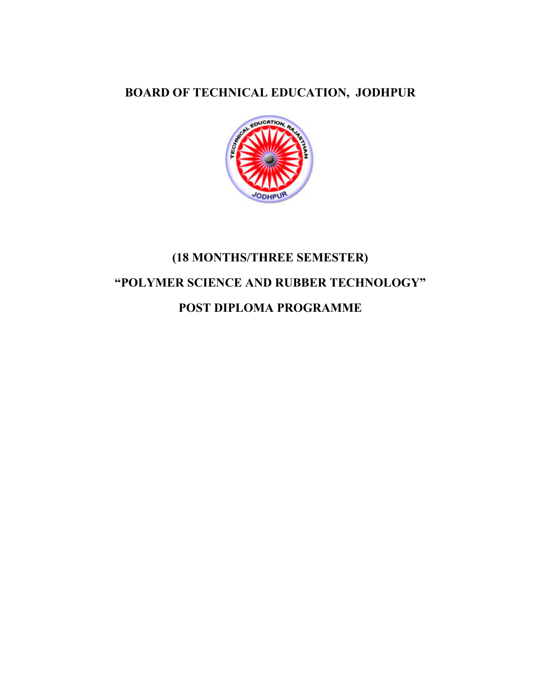## **BOARD OF TECHICAL EDUCATIO, JODHPUR**



# **(18 MOTHS/THREE SEMESTER) "POLYMER SCIECE AD RUBBER TECHOLOGY" POST DIPLOMA PROGRAMME**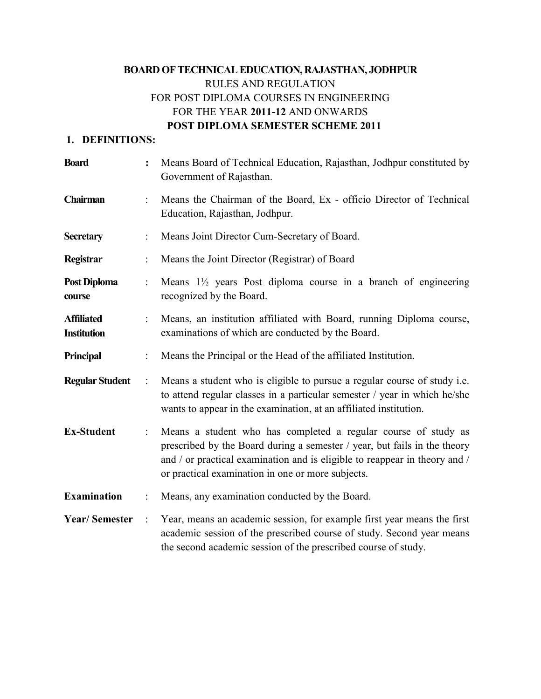## **BOARD OF TECHICAL EDUCATIO, RAJASTHA, JODHPUR** RULES AND REGULATION FOR POST DIPLOMA COURSES IN ENGINEERING FOR THE YEAR **2011-12** AND ONWARDS  **POST DIPLOMA SEMESTER SCHEME 2011**

#### 1. DEFINITIONS:

| <b>Board</b>                            | $\ddot{\cdot}$ | Means Board of Technical Education, Rajasthan, Jodhpur constituted by<br>Government of Rajasthan.                                                                                                                                                                              |  |
|-----------------------------------------|----------------|--------------------------------------------------------------------------------------------------------------------------------------------------------------------------------------------------------------------------------------------------------------------------------|--|
| Chairman                                |                | Means the Chairman of the Board, Ex - officio Director of Technical<br>Education, Rajasthan, Jodhpur.                                                                                                                                                                          |  |
| <b>Secretary</b>                        |                | Means Joint Director Cum-Secretary of Board.                                                                                                                                                                                                                                   |  |
| Registrar                               |                | Means the Joint Director (Registrar) of Board                                                                                                                                                                                                                                  |  |
| Post Diploma<br>course                  |                | Means $1\frac{1}{2}$ years Post diploma course in a branch of engineering<br>recognized by the Board.                                                                                                                                                                          |  |
| <b>Affiliated</b><br><b>Institution</b> |                | Means, an institution affiliated with Board, running Diploma course,<br>examinations of which are conducted by the Board.                                                                                                                                                      |  |
| <b>Principal</b>                        |                | Means the Principal or the Head of the affiliated Institution.                                                                                                                                                                                                                 |  |
| <b>Regular Student</b>                  | $\ddot{\cdot}$ | Means a student who is eligible to pursue a regular course of study <i>i.e.</i><br>to attend regular classes in a particular semester / year in which he/she<br>wants to appear in the examination, at an affiliated institution.                                              |  |
| <b>Ex-Student</b>                       | ÷              | Means a student who has completed a regular course of study as<br>prescribed by the Board during a semester / year, but fails in the theory<br>and / or practical examination and is eligible to reappear in theory and /<br>or practical examination in one or more subjects. |  |
| <b>Examination</b>                      | $\ddot{\cdot}$ | Means, any examination conducted by the Board.                                                                                                                                                                                                                                 |  |
| <b>Year/Semester</b>                    | $\ddot{\cdot}$ | Year, means an academic session, for example first year means the first<br>academic session of the prescribed course of study. Second year means<br>the second academic session of the prescribed course of study.                                                             |  |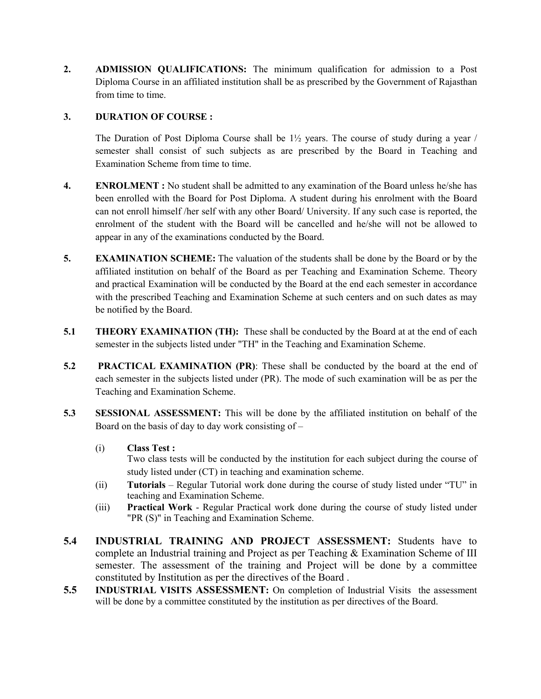**2. ADMISSIO QUALIFICATIOS:** The minimum qualification for admission to a Post Diploma Course in an affiliated institution shall be as prescribed by the Government of Rajasthan from time to time.

#### **3. DURATIO OF COURSE :**

The Duration of Post Diploma Course shall be 1½ years. The course of study during a year / semester shall consist of such subjects as are prescribed by the Board in Teaching and Examination Scheme from time to time.

- **4. ENROLMENT**: No student shall be admitted to any examination of the Board unless he/she has been enrolled with the Board for Post Diploma. A student during his enrolment with the Board can not enroll himself /her self with any other Board/ University. If any such case is reported, the enrolment of the student with the Board will be cancelled and he/she will not be allowed to appear in any of the examinations conducted by the Board.
- **5. EXAMINATION SCHEME:** The valuation of the students shall be done by the Board or by the affiliated institution on behalf of the Board as per Teaching and Examination Scheme. Theory and practical Examination will be conducted by the Board at the end each semester in accordance with the prescribed Teaching and Examination Scheme at such centers and on such dates as may be notified by the Board.
- **5.1 THEORY EXAMINATION (TH):** These shall be conducted by the Board at at the end of each semester in the subjects listed under "TH" in the Teaching and Examination Scheme.
- **5.2** PRACTICAL EXAMINATION (PR): These shall be conducted by the board at the end of each semester in the subjects listed under (PR). The mode of such examination will be as per the Teaching and Examination Scheme.
- **5.3 SESSIOAL ASSESSMET:** This will be done by the affiliated institution on behalf of the Board on the basis of day to day work consisting of  $-$ 
	- (i) **Class Test :**

Two class tests will be conducted by the institution for each subject during the course of study listed under (CT) in teaching and examination scheme.

- (ii) **Tutorials** Regular Tutorial work done during the course of study listed under "TU" in teaching and Examination Scheme.
- (iii) **Practical Work**  Regular Practical work done during the course of study listed under "PR (S)" in Teaching and Examination Scheme.
- **5.4 IDUSTRIAL TRAIIG AD PROJECT ASSESSMET:** Students have to complete an Industrial training and Project as per Teaching & Examination Scheme of III semester. The assessment of the training and Project will be done by a committee constituted by Institution as per the directives of the Board .
- **5.5 INDUSTRIAL VISITS ASSESSMENT:** On completion of Industrial Visits the assessment will be done by a committee constituted by the institution as per directives of the Board.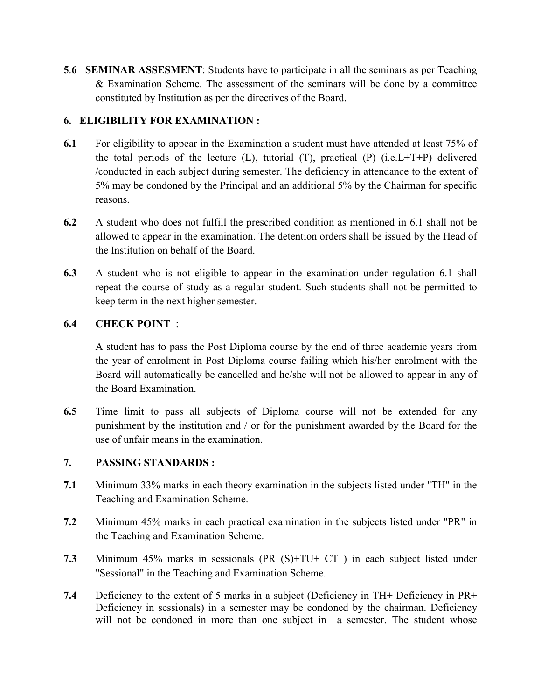**5.6 SEMINAR ASSESMENT:** Students have to participate in all the seminars as per Teaching & Examination Scheme. The assessment of the seminars will be done by a committee constituted by Institution as per the directives of the Board.

#### **6. ELIGIBILITY FOR EXAMIATIO :**

- **6.1** For eligibility to appear in the Examination a student must have attended at least 75% of the total periods of the lecture  $(L)$ , tutorial  $(T)$ , practical  $(P)$  (i.e.  $L+T+P$ ) delivered /conducted in each subject during semester. The deficiency in attendance to the extent of 5% may be condoned by the Principal and an additional 5% by the Chairman for specific reasons.
- **6.2** A student who does not fulfill the prescribed condition as mentioned in 6.1 shall not be allowed to appear in the examination. The detention orders shall be issued by the Head of the Institution on behalf of the Board.
- **6.3** A student who is not eligible to appear in the examination under regulation 6.1 shall repeat the course of study as a regular student. Such students shall not be permitted to keep term in the next higher semester.

#### **6.4 CHECK POIT** :

 A student has to pass the Post Diploma course by the end of three academic years from the year of enrolment in Post Diploma course failing which his/her enrolment with the Board will automatically be cancelled and he/she will not be allowed to appear in any of the Board Examination.

**6.5** Time limit to pass all subjects of Diploma course will not be extended for any punishment by the institution and / or for the punishment awarded by the Board for the use of unfair means in the examination.

#### **7. PASSIG STADARDS :**

- **7.1** Minimum 33% marks in each theory examination in the subjects listed under "TH" in the Teaching and Examination Scheme.
- **7.2** Minimum 45% marks in each practical examination in the subjects listed under "PR" in the Teaching and Examination Scheme.
- **7.3** Minimum 45% marks in sessionals (PR (S)+TU+ CT ) in each subject listed under "Sessional" in the Teaching and Examination Scheme.
- **7.4** Deficiency to the extent of 5 marks in a subject (Deficiency in TH+ Deficiency in PR+ Deficiency in sessionals) in a semester may be condoned by the chairman. Deficiency will not be condoned in more than one subject in a semester. The student whose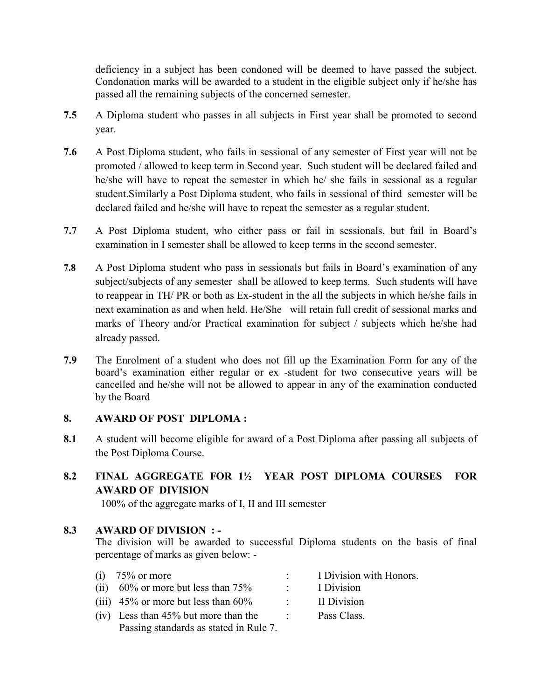deficiency in a subject has been condoned will be deemed to have passed the subject. Condonation marks will be awarded to a student in the eligible subject only if he/she has passed all the remaining subjects of the concerned semester.

- **7.5** A Diploma student who passes in all subjects in First year shall be promoted to second year.
- **7.6** A Post Diploma student, who fails in sessional of any semester of First year will not be promoted / allowed to keep term in Second year. Such student will be declared failed and he/she will have to repeat the semester in which he/ she fails in sessional as a regular student.Similarly a Post Diploma student, who fails in sessional of third semester will be declared failed and he/she will have to repeat the semester as a regular student.
- **7.7** A Post Diploma student, who either pass or fail in sessionals, but fail in Board's examination in I semester shall be allowed to keep terms in the second semester.
- **7.8** A Post Diploma student who pass in sessionals but fails in Board's examination of any subject/subjects of any semester shall be allowed to keep terms. Such students will have to reappear in TH/ PR or both as Ex-student in the all the subjects in which he/she fails in next examination as and when held. He/She will retain full credit of sessional marks and marks of Theory and/or Practical examination for subject / subjects which he/she had already passed.
- **7.9** The Enrolment of a student who does not fill up the Examination Form for any of the board's examination either regular or ex -student for two consecutive years will be cancelled and he/she will not be allowed to appear in any of the examination conducted by the Board

#### **8. AWARD OF POST DIPLOMA :**

**8.1** A student will become eligible for award of a Post Diploma after passing all subjects of the Post Diploma Course.

### **8.2 FIAL AGGREGATE FOR 1½ YEAR POST DIPLOMA COURSES FOR AWARD OF DIVISION**

100% of the aggregate marks of I, II and III semester

#### 8.3 AWARD OF DIVISION : -

The division will be awarded to successful Diploma students on the basis of final percentage of marks as given below: -

| (1) | $75\%$ or more                            | I Division with Honors. |
|-----|-------------------------------------------|-------------------------|
|     | (ii) $60\%$ or more but less than $75\%$  | I Division              |
|     | (iii) $45\%$ or more but less than $60\%$ | II Division             |
|     | $(iv)$ Less than 45% but more than the    | Pass Class.             |
|     | Passing standards as stated in Rule 7.    |                         |